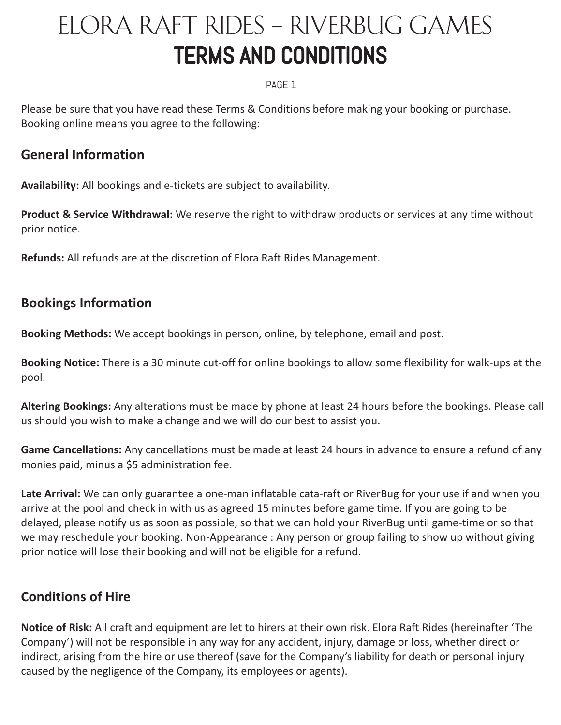# ELORA RAFT RIDES – RIVERBUG GAMES TERMS AND CONDITIONS

#### PAGE 1

Please be sure that you have read these Terms & Conditions before making your booking or purchase. Booking online means you agree to the following:

### **General Information**

**Availability:** All bookings and e-tickets are subject to availability.

**Product & Service Withdrawal:** We reserve the right to withdraw products or services at any time without prior notice.

**Refunds:** All refunds are at the discretion of Elora Raft Rides Management.

## **Bookings Information**

**Booking Methods:** We accept bookings in person, online, by telephone, email and post.

**Booking Notice:** There is a 30 minute cut-off for online bookings to allow some flexibility for walk-ups at the pool.

**Altering Bookings:** Any alterations must be made by phone at least 24 hours before the bookings. Please call us should you wish to make a change and we will do our best to assist you.

**Game Cancellations:** Any cancellations must be made at least 24 hours in advance to ensure a refund of any monies paid, minus a \$5 administration fee.

**Late Arrival:** We can only guarantee a one-man inflatable cata-raft or RiverBug for your use if and when you arrive at the pool and check in with us as agreed 15 minutes before game time. If you are going to be delayed, please notify us as soon as possible, so that we can hold your RiverBug until game-time or so that we may reschedule your booking. Non-Appearance : Any person or group failing to show up without giving prior notice will lose their booking and will not be eligible for a refund.

# **Conditions of Hire**

**Notice of Risk:** All craft and equipment are let to hirers at their own risk. Elora Raft Rides (hereinafter 'The Company') will not be responsible in any way for any accident, injury, damage or loss, whether direct or indirect, arising from the hire or use thereof (save for the Company's liability for death or personal injury caused by the negligence of the Company, its employees or agents).